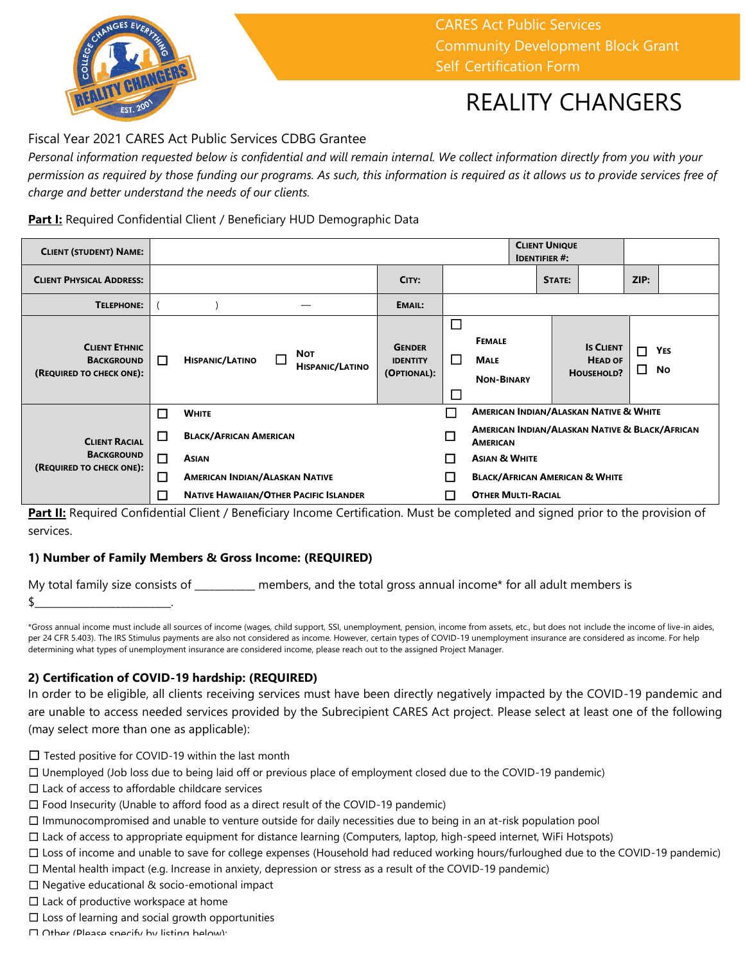

CARES Act Public Services Community Development Block Grant Self-Certification Form

## REALITY CHANGERS

### Fiscal Year 2021 CARES Act Public Services CDBG Grantee

*Personal information requested below is confidential and will remain internal. We collect information directly from you with your permission as required by those funding our programs. As such, this information is required as it allows us to provide services free of charge and better understand the needs of our clients.* 

#### **Part I:** Required Confidential Client / Beneficiary HUD Demographic Data

| <b>CLIENT (STUDENT) NAME:</b>                                         |        |                                               |  |                                      |                                                                   |                  | <b>CLIENT UNIQUE</b><br><b>IDENTIFIER #:</b>      |  |        |                                                  |             |                  |
|-----------------------------------------------------------------------|--------|-----------------------------------------------|--|--------------------------------------|-------------------------------------------------------------------|------------------|---------------------------------------------------|--|--------|--------------------------------------------------|-------------|------------------|
| <b>CLIENT PHYSICAL ADDRESS:</b>                                       |        |                                               |  |                                      | CITY:                                                             |                  |                                                   |  | STATE: |                                                  | ZIP:        |                  |
| <b>TELEPHONE:</b>                                                     |        |                                               |  |                                      | EMAIL:                                                            |                  |                                                   |  |        |                                                  |             |                  |
| <b>CLIENT ETHNIC</b><br><b>BACKGROUND</b><br>(REQUIRED TO CHECK ONE): | П      | <b>HISPANIC/LATINO</b>                        |  | <b>NOT</b><br><b>HISPANIC/LATINO</b> | <b>GENDER</b><br><b>IDENTITY</b><br>(OPTIONAL):                   | □<br>П<br>$\Box$ | <b>FEMALE</b><br><b>MALE</b><br><b>NON-BINARY</b> |  |        | <b>IS CLIENT</b><br><b>HEAD OF</b><br>HOUSEHOLD? | П<br>$\Box$ | <b>YES</b><br>No |
|                                                                       | $\Box$ | <b>WHITE</b>                                  |  |                                      | <b>AMERICAN INDIAN/ALASKAN NATIVE &amp; WHITE</b>                 |                  |                                                   |  |        |                                                  |             |                  |
| <b>CLIENT RACIAL</b><br><b>BACKGROUND</b><br>(REQUIRED TO CHECK ONE): | Г      | <b>BLACK/AFRICAN AMERICAN</b>                 |  | $\Box$                               | AMERICAN INDIAN/ALASKAN NATIVE & BLACK/AFRICAN<br><b>AMERICAN</b> |                  |                                                   |  |        |                                                  |             |                  |
|                                                                       | П      | <b>ASIAN</b>                                  |  |                                      |                                                                   | П                | <b>ASIAN &amp; WHITE</b>                          |  |        |                                                  |             |                  |
|                                                                       | 囗      | <b>AMERICAN INDIAN/ALASKAN NATIVE</b>         |  |                                      |                                                                   | □                | <b>BLACK/AFRICAN AMERICAN &amp; WHITE</b>         |  |        |                                                  |             |                  |
|                                                                       | L.     | <b>NATIVE HAWAIIAN/OTHER PACIFIC ISLANDER</b> |  |                                      | <b>OTHER MULTI-RACIAL</b>                                         |                  |                                                   |  |        |                                                  |             |                  |

Part II: Required Confidential Client / Beneficiary Income Certification. Must be completed and signed prior to the provision of services.

#### **1) Number of Family Members & Gross Income: (REQUIRED)**

My total family size consists of \_\_\_\_\_\_\_\_\_\_\_\_ members, and the total gross annual income\* for all adult members is  $\frac{1}{2}$   $\frac{1}{2}$   $\frac{1}{2}$   $\frac{1}{2}$   $\frac{1}{2}$   $\frac{1}{2}$   $\frac{1}{2}$   $\frac{1}{2}$   $\frac{1}{2}$   $\frac{1}{2}$   $\frac{1}{2}$   $\frac{1}{2}$   $\frac{1}{2}$   $\frac{1}{2}$   $\frac{1}{2}$   $\frac{1}{2}$   $\frac{1}{2}$   $\frac{1}{2}$   $\frac{1}{2}$   $\frac{1}{2}$   $\frac{1}{2}$   $\frac{1}{2}$ 

\*Gross annual income must include all sources of income (wages, child support, SSI, unemployment, pension, income from assets, etc., but does not include the income of live-in aides, per 24 CFR 5.403). The IRS Stimulus payments are also not considered as income. However, certain types of COVID-19 unemployment insurance are considered as income. For help determining what types of unemployment insurance are considered income, please reach out to the assigned Project Manager.

#### **2) Certification of COVID-19 hardship: (REQUIRED)**

In order to be eligible, all clients receiving services must have been directly negatively impacted by the COVID-19 pandemic and are unable to access needed services provided by the Subrecipient CARES Act project. Please select at least one of the following (may select more than one as applicable):

- □ Tested positive for COVID-19 within the last month
- ☐ Unemployed (Job loss due to being laid off or previous place of employment closed due to the COVID-19 pandemic)
- ☐ Lack of access to affordable childcare services
- ☐ Food Insecurity (Unable to afford food as a direct result of the COVID-19 pandemic)
- ☐ Immunocompromised and unable to venture outside for daily necessities due to being in an at-risk population pool
- ☐ Lack of access to appropriate equipment for distance learning (Computers, laptop, high-speed internet, WiFi Hotspots)
- ☐ Loss of income and unable to save for college expenses (Household had reduced working hours/furloughed due to the COVID-19 pandemic)
- ☐ Mental health impact (e.g. Increase in anxiety, depression or stress as a result of the COVID-19 pandemic)
- ☐ Negative educational & socio-emotional impact
- $\Box$  Lack of productive workspace at home
- $\Box$  Loss of learning and social growth opportunities
- ☐ Other (Please specify by listing below):